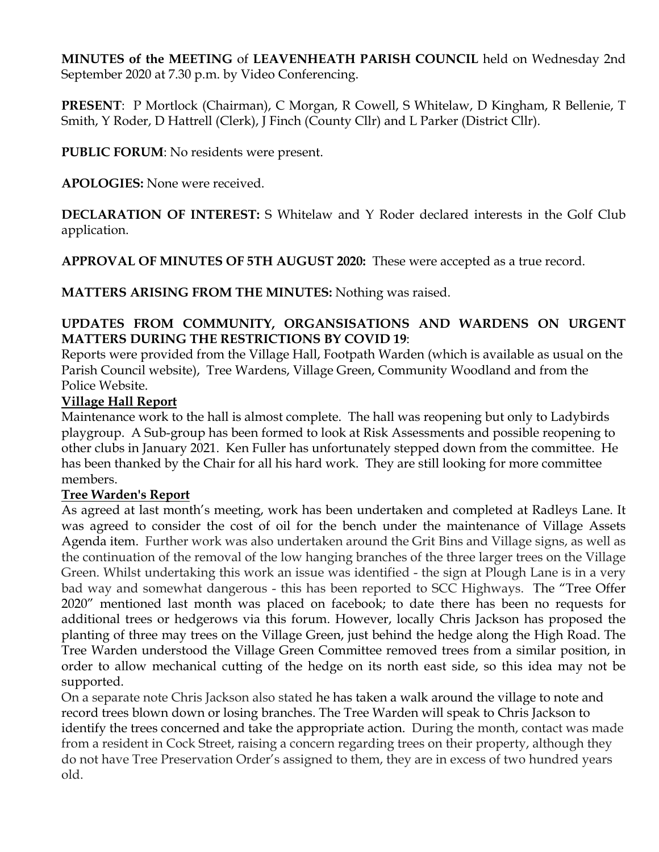**MINUTES of the MEETING** of **LEAVENHEATH PARISH COUNCIL** held on Wednesday 2nd September 2020 at 7.30 p.m. by Video Conferencing.

**PRESENT**: P Mortlock (Chairman), C Morgan, R Cowell, S Whitelaw, D Kingham, R Bellenie, T Smith, Y Roder, D Hattrell (Clerk), J Finch (County Cllr) and L Parker (District Cllr).

**PUBLIC FORUM**: No residents were present.

**APOLOGIES:** None were received.

**DECLARATION OF INTEREST:** S Whitelaw and Y Roder declared interests in the Golf Club application.

**APPROVAL OF MINUTES OF 5TH AUGUST 2020:** These were accepted as a true record.

**MATTERS ARISING FROM THE MINUTES:** Nothing was raised.

# **UPDATES FROM COMMUNITY, ORGANSISATIONS AND WARDENS ON URGENT MATTERS DURING THE RESTRICTIONS BY COVID 19**:

Reports were provided from the Village Hall, Footpath Warden (which is available as usual on the Parish Council website), Tree Wardens, Village Green, Community Woodland and from the Police Website.

### **Village Hall Report**

Maintenance work to the hall is almost complete. The hall was reopening but only to Ladybirds playgroup. A Sub-group has been formed to look at Risk Assessments and possible reopening to other clubs in January 2021. Ken Fuller has unfortunately stepped down from the committee. He has been thanked by the Chair for all his hard work. They are still looking for more committee members.

#### **Tree Warden's Report**

As agreed at last month's meeting, work has been undertaken and completed at Radleys Lane. It was agreed to consider the cost of oil for the bench under the maintenance of Village Assets Agenda item. Further work was also undertaken around the Grit Bins and Village signs, as well as the continuation of the removal of the low hanging branches of the three larger trees on the Village Green. Whilst undertaking this work an issue was identified - the sign at Plough Lane is in a very bad way and somewhat dangerous - this has been reported to SCC Highways. The "Tree Offer 2020" mentioned last month was placed on facebook; to date there has been no requests for additional trees or hedgerows via this forum. However, locally Chris Jackson has proposed the planting of three may trees on the Village Green, just behind the hedge along the High Road. The Tree Warden understood the Village Green Committee removed trees from a similar position, in order to allow mechanical cutting of the hedge on its north east side, so this idea may not be supported.

On a separate note Chris Jackson also stated he has taken a walk around the village to note and record trees blown down or losing branches. The Tree Warden will speak to Chris Jackson to identify the trees concerned and take the appropriate action. During the month, contact was made from a resident in Cock Street, raising a concern regarding trees on their property, although they do not have Tree Preservation Order's assigned to them, they are in excess of two hundred years old.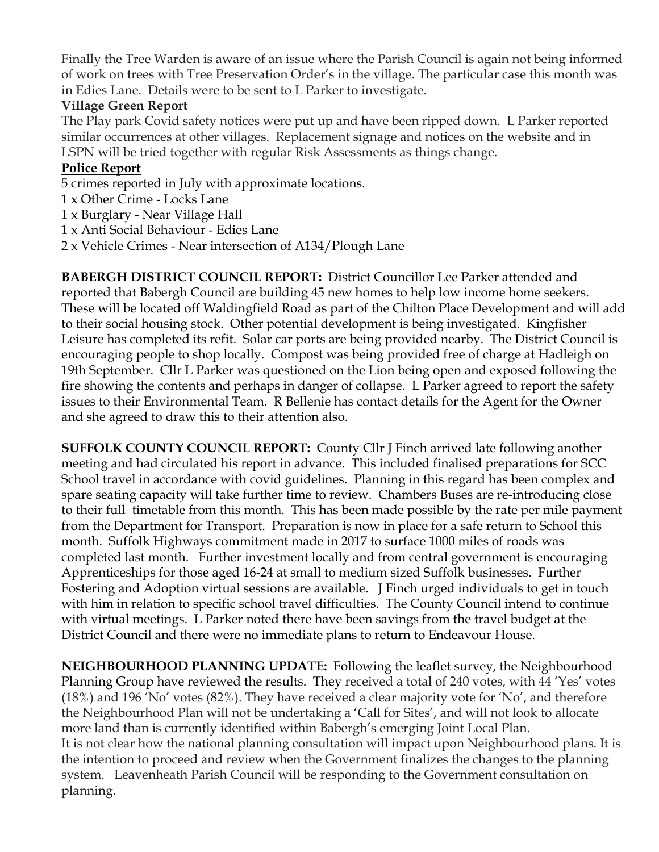Finally the Tree Warden is aware of an issue where the Parish Council is again not being informed of work on trees with Tree Preservation Order's in the village. The particular case this month was in Edies Lane. Details were to be sent to L Parker to investigate.

# **Village Green Report**

The Play park Covid safety notices were put up and have been ripped down. L Parker reported similar occurrences at other villages. Replacement signage and notices on the website and in LSPN will be tried together with regular Risk Assessments as things change.

# **Police Report**

- 5 crimes reported in July with approximate locations.
- 1 x Other Crime Locks Lane
- 1 x Burglary Near Village Hall
- 1 x Anti Social Behaviour Edies Lane
- 2 x Vehicle Crimes Near intersection of A134/Plough Lane

**BABERGH DISTRICT COUNCIL REPORT:** District Councillor Lee Parker attended and reported that Babergh Council are building 45 new homes to help low income home seekers. These will be located off Waldingfield Road as part of the Chilton Place Development and will add to their social housing stock. Other potential development is being investigated. Kingfisher Leisure has completed its refit. Solar car ports are being provided nearby. The District Council is encouraging people to shop locally. Compost was being provided free of charge at Hadleigh on 19th September. Cllr L Parker was questioned on the Lion being open and exposed following the fire showing the contents and perhaps in danger of collapse. L Parker agreed to report the safety issues to their Environmental Team. R Bellenie has contact details for the Agent for the Owner and she agreed to draw this to their attention also.

**SUFFOLK COUNTY COUNCIL REPORT:** County Cllr J Finch arrived late following another meeting and had circulated his report in advance. This included finalised preparations for SCC School travel in accordance with covid guidelines. Planning in this regard has been complex and spare seating capacity will take further time to review. Chambers Buses are re-introducing close to their full timetable from this month. This has been made possible by the rate per mile payment from the Department for Transport. Preparation is now in place for a safe return to School this month. Suffolk Highways commitment made in 2017 to surface 1000 miles of roads was completed last month. Further investment locally and from central government is encouraging Apprenticeships for those aged 16-24 at small to medium sized Suffolk businesses. Further Fostering and Adoption virtual sessions are available. J Finch urged individuals to get in touch with him in relation to specific school travel difficulties. The County Council intend to continue with virtual meetings. L Parker noted there have been savings from the travel budget at the District Council and there were no immediate plans to return to Endeavour House.

**NEIGHBOURHOOD PLANNING UPDATE:** Following the leaflet survey, the Neighbourhood Planning Group have reviewed the results. They received a total of 240 votes, with 44 'Yes' votes (18%) and 196 'No' votes (82%). They have received a clear majority vote for 'No', and therefore the Neighbourhood Plan will not be undertaking a 'Call for Sites', and will not look to allocate more land than is currently identified within Babergh's emerging Joint Local Plan. It is not clear how the national planning consultation will impact upon Neighbourhood plans. It is the intention to proceed and review when the Government finalizes the changes to the planning system. Leavenheath Parish Council will be responding to the Government consultation on planning.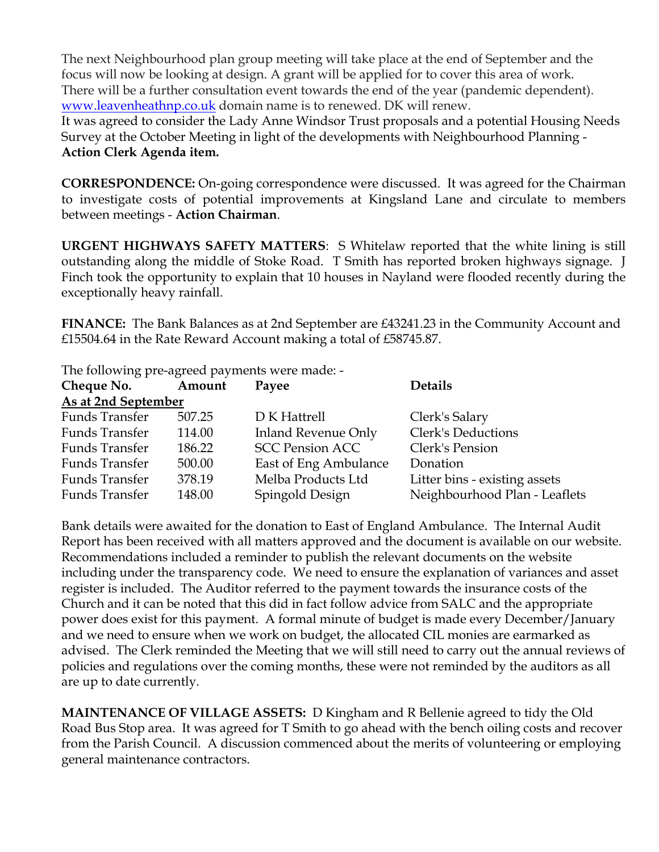The next Neighbourhood plan group meeting will take place at the end of September and the focus will now be looking at design. A grant will be applied for to cover this area of work. There will be a further consultation event towards the end of the year (pandemic dependent). www.leavenheathnp.co.uk domain name is to renewed. DK will renew.

It was agreed to consider the Lady Anne Windsor Trust proposals and a potential Housing Needs Survey at the October Meeting in light of the developments with Neighbourhood Planning - **Action Clerk Agenda item.**

**CORRESPONDENCE:** On-going correspondence were discussed. It was agreed for the Chairman to investigate costs of potential improvements at Kingsland Lane and circulate to members between meetings - **Action Chairman**.

**URGENT HIGHWAYS SAFETY MATTERS**: S Whitelaw reported that the white lining is still outstanding along the middle of Stoke Road. T Smith has reported broken highways signage. J Finch took the opportunity to explain that 10 houses in Nayland were flooded recently during the exceptionally heavy rainfall.

**FINANCE:** The Bank Balances as at 2nd September are £43241.23 in the Community Account and £15504.64 in the Rate Reward Account making a total of £58745.87.

The following pre-agreed payments were made: -

| Cheque No. Amount   |        | Payee                  | <b>Details</b>                |
|---------------------|--------|------------------------|-------------------------------|
| As at 2nd September |        |                        |                               |
| Funds Transfer      | 507.25 | D K Hattrell           | Clerk's Salary                |
| Funds Transfer      | 114.00 | Inland Revenue Only    | Clerk's Deductions            |
| Funds Transfer      | 186.22 | <b>SCC Pension ACC</b> | Clerk's Pension               |
| Funds Transfer      | 500.00 | East of Eng Ambulance  | Donation                      |
| Funds Transfer      | 378.19 | Melba Products Ltd     | Litter bins - existing assets |
| Funds Transfer      | 148.00 | Spingold Design        | Neighbourhood Plan - Leaflets |

Bank details were awaited for the donation to East of England Ambulance. The Internal Audit Report has been received with all matters approved and the document is available on our website. Recommendations included a reminder to publish the relevant documents on the website including under the transparency code. We need to ensure the explanation of variances and asset register is included. The Auditor referred to the payment towards the insurance costs of the Church and it can be noted that this did in fact follow advice from SALC and the appropriate power does exist for this payment. A formal minute of budget is made every December/January and we need to ensure when we work on budget, the allocated CIL monies are earmarked as advised. The Clerk reminded the Meeting that we will still need to carry out the annual reviews of policies and regulations over the coming months, these were not reminded by the auditors as all are up to date currently.

**MAINTENANCE OF VILLAGE ASSETS:** D Kingham and R Bellenie agreed to tidy the Old Road Bus Stop area. It was agreed for T Smith to go ahead with the bench oiling costs and recover from the Parish Council. A discussion commenced about the merits of volunteering or employing general maintenance contractors.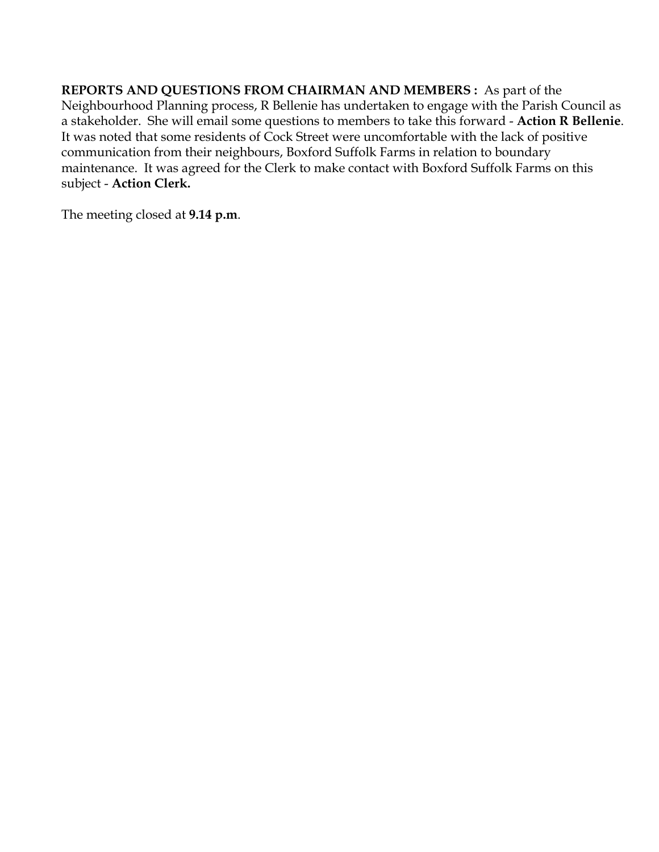**REPORTS AND QUESTIONS FROM CHAIRMAN AND MEMBERS :** As part of the Neighbourhood Planning process, R Bellenie has undertaken to engage with the Parish Council as a stakeholder. She will email some questions to members to take this forward - **Action R Bellenie**. It was noted that some residents of Cock Street were uncomfortable with the lack of positive communication from their neighbours, Boxford Suffolk Farms in relation to boundary maintenance. It was agreed for the Clerk to make contact with Boxford Suffolk Farms on this subject - **Action Clerk.** 

The meeting closed at **9.14 p.m**.